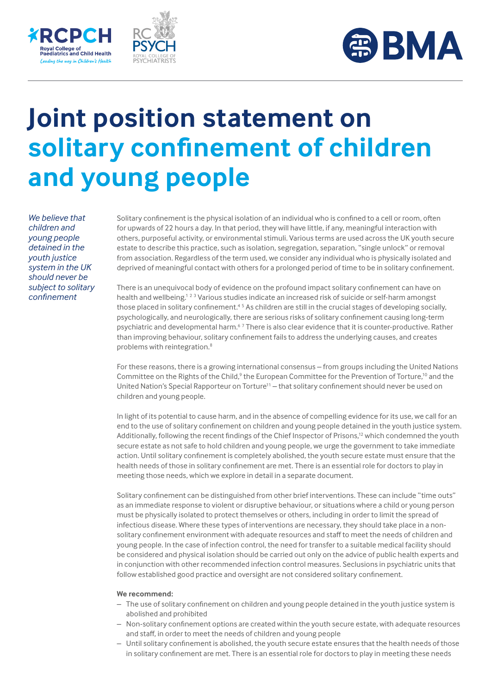





## **Joint position statement on solitary confinement of children and young people**

*We believe that children and young people detained in the youth justice system in the UK should never be subject to solitary confinement*

Solitary confinement is the physical isolation of an individual who is confined to a cell or room, often for upwards of 22 hours a day. In that period, they will have little, if any, meaningful interaction with others, purposeful activity, or environmental stimuli. Various terms are used across the UK youth secure estate to describe this practice, such as isolation, segregation, separation, "single unlock" or removal from association. Regardless of the term used, we consider any individual who is physically isolated and deprived of meaningful contact with others for a prolonged period of time to be in solitary confinement.

There is an unequivocal body of evidence on the profound impact solitary confinement can have on health and wellbeing.<sup>123</sup> Various studies indicate an increased risk of suicide or self-harm amongst those placed in solitary confinement.<sup>45</sup> As children are still in the crucial stages of developing socially, psychologically, and neurologically, there are serious risks of solitary confinement causing long-term psychiatric and developmental harm.<sup>67</sup> There is also clear evidence that it is counter-productive. Rather than improving behaviour, solitary confinement fails to address the underlying causes, and creates problems with reintegration.<sup>8</sup>

For these reasons, there is a growing international consensus – from groups including the United Nations Committee on the Rights of the Child,<sup>9</sup> the European Committee for the Prevention of Torture,<sup>10</sup> and the United Nation's Special Rapporteur on Torture<sup>11</sup> – that solitary confinement should never be used on children and young people.

In light of its potential to cause harm, and in the absence of compelling evidence for its use, we call for an end to the use of solitary confinement on children and young people detained in the youth justice system. Additionally, following the recent findings of the Chief Inspector of Prisons,<sup>12</sup> which condemned the youth secure estate as not safe to hold children and young people, we urge the government to take immediate action. Until solitary confinement is completely abolished, the youth secure estate must ensure that the health needs of those in solitary confinement are met. There is an essential role for doctors to play in meeting those needs, which we explore in detail in a separate document.

Solitary confinement can be distinguished from other brief interventions. These can include "time outs" as an immediate response to violent or disruptive behaviour, or situations where a child or young person must be physically isolated to protect themselves or others, including in order to limit the spread of infectious disease. Where these types of interventions are necessary, they should take place in a nonsolitary confinement environment with adequate resources and staff to meet the needs of children and young people. In the case of infection control, the need for transfer to a suitable medical facility should be considered and physical isolation should be carried out only on the advice of public health experts and in conjunction with other recommended infection control measures. Seclusions in psychiatric units that follow established good practice and oversight are not considered solitary confinement.

## **We recommend:**

- The use of solitary confinement on children and young people detained in the youth justice system is abolished and prohibited
- Non-solitary confinement options are created within the youth secure estate, with adequate resources and staff, in order to meet the needs of children and young people
- Until solitary confinement is abolished, the youth secure estate ensures that the health needs of those in solitary confinement are met. There is an essential role for doctors to play in meeting these needs